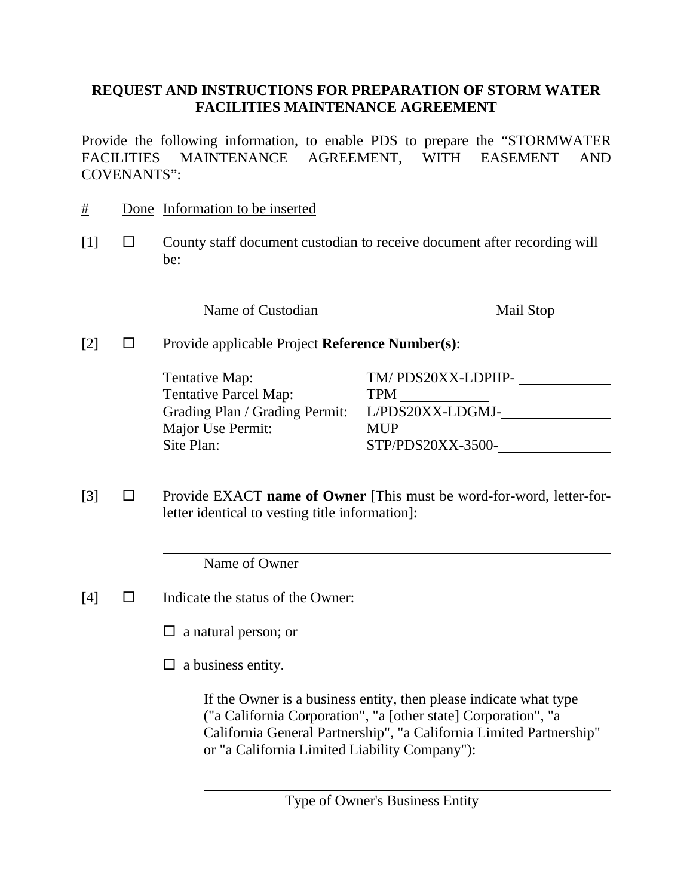## **REQUEST AND INSTRUCTIONS FOR PREPARATION OF STORM WATER FACILITIES MAINTENANCE AGREEMENT**

Provide the following information, to enable PDS to prepare the "STORMWATER FACILITIES MAINTENANCE AGREEMENT, WITH EASEMENT AND COVENANTS":

- # Done Information to be inserted
- $[1]$   $\square$  County staff document custodian to receive document after recording will be:

Name of Custodian Mail Stop

## [2] Provide applicable Project **Reference Number(s)**:

| Tentative Map:                 | TM/PDS20XX-LDPIIP- |
|--------------------------------|--------------------|
| <b>Tentative Parcel Map:</b>   | TPM                |
| Grading Plan / Grading Permit: | L/PDS20XX-LDGMJ-   |
| Major Use Permit:              | <b>MUP</b>         |
| Site Plan:                     | STP/PDS20XX-3500-  |

[3] Provide EXACT **name of Owner** [This must be word-for-word, letter-forletter identical to vesting title information]:

Name of Owner

- [4]  $\Box$  Indicate the status of the Owner:
	- $\Box$  a natural person; or
	- $\Box$  a business entity.

If the Owner is a business entity, then please indicate what type ("a California Corporation", "a [other state] Corporation", "a California General Partnership", "a California Limited Partnership" or "a California Limited Liability Company"):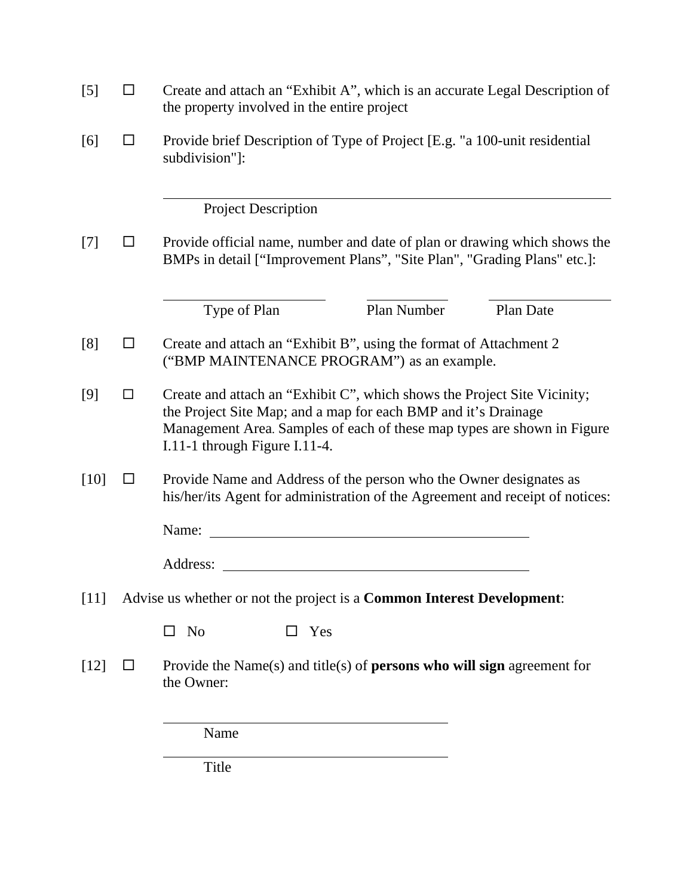| $\blacksquare$ | Create and attach an "Exhibit A", which is an accurate Legal Description of<br>the property involved in the entire project                                                                                                                             |  |
|----------------|--------------------------------------------------------------------------------------------------------------------------------------------------------------------------------------------------------------------------------------------------------|--|
| $\Box$         | Provide brief Description of Type of Project [E.g. "a 100-unit residential<br>subdivision"]:                                                                                                                                                           |  |
|                | <b>Project Description</b>                                                                                                                                                                                                                             |  |
|                | Provide official name, number and date of plan or drawing which shows the<br>BMPs in detail ["Improvement Plans", "Site Plan", "Grading Plans" etc.]:                                                                                                  |  |
|                | Plan Number<br>Type of Plan<br>Plan Date                                                                                                                                                                                                               |  |
| □              | Create and attach an "Exhibit B", using the format of Attachment 2<br>("BMP MAINTENANCE PROGRAM") as an example.                                                                                                                                       |  |
| □              | Create and attach an "Exhibit C", which shows the Project Site Vicinity;<br>the Project Site Map; and a map for each BMP and it's Drainage<br>Management Area. Samples of each of these map types are shown in Figure<br>I.11-1 through Figure I.11-4. |  |
| $\Box$         | Provide Name and Address of the person who the Owner designates as<br>his/her/its Agent for administration of the Agreement and receipt of notices:                                                                                                    |  |
|                | Name:<br><u> 1980 - Jan Samuel Barbara, martin da shekara 1980 - An tsara 1980 - An tsara 1980 - An tsara 1980 - An tsara</u>                                                                                                                          |  |
|                | Address:<br><u>and the state of the state of the state of the state of the state of the state of the state of the state of th</u>                                                                                                                      |  |
|                | Advise us whether or not the project is a Common Interest Development:                                                                                                                                                                                 |  |
|                | N <sub>0</sub><br>Yes<br>□<br>LΙ                                                                                                                                                                                                                       |  |
| ⊔              | Provide the Name $(s)$ and title $(s)$ of <b>persons who will sign</b> agreement for<br>the Owner:                                                                                                                                                     |  |
|                | Name                                                                                                                                                                                                                                                   |  |
|                | Title                                                                                                                                                                                                                                                  |  |
|                |                                                                                                                                                                                                                                                        |  |